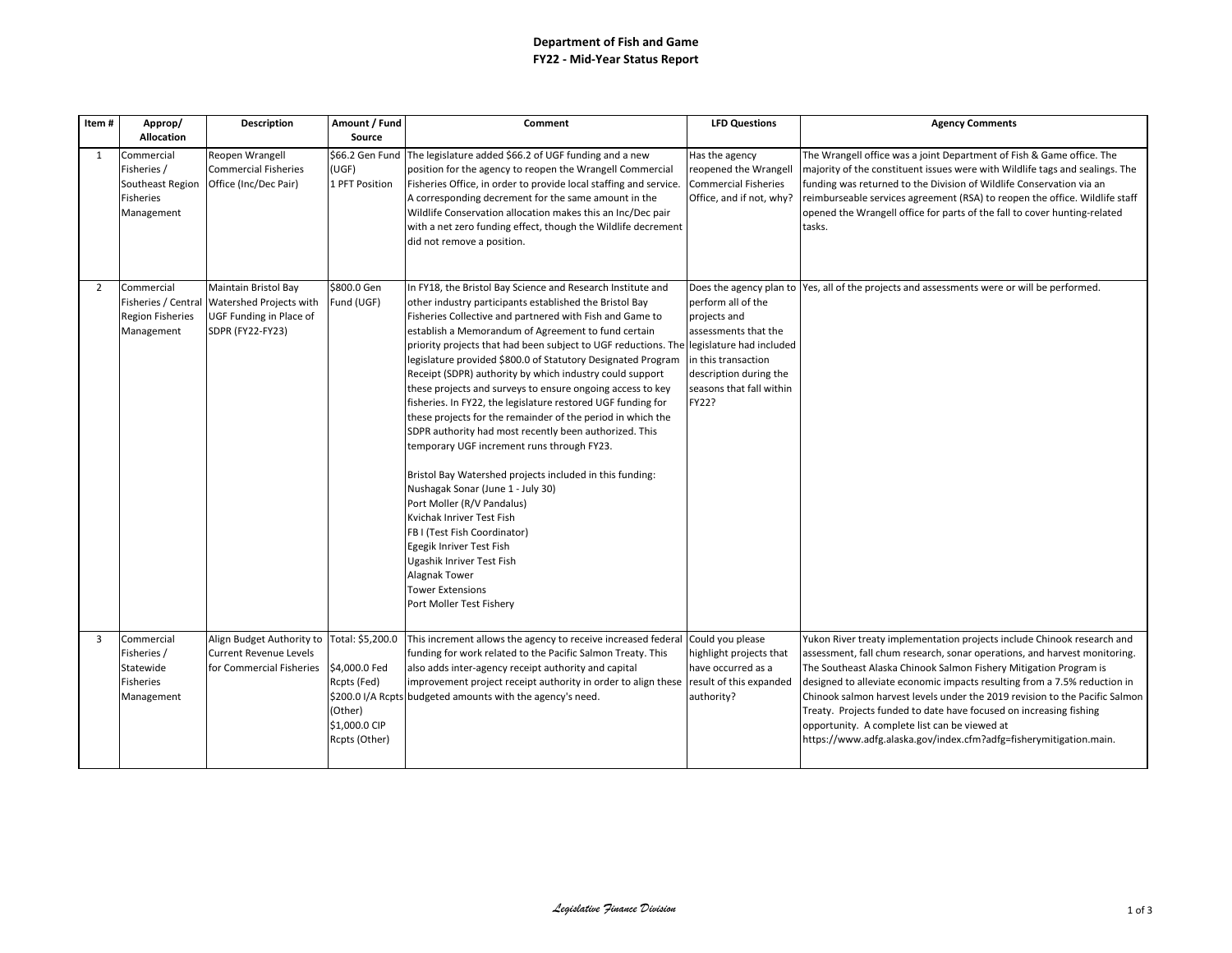## **Department of Fish and Game FY22 - Mid-Year Status Report**

| Item#          | Approp/<br><b>Allocation</b>                                                    | Description                                                                                           | Amount / Fund<br>Source                                                                       | Comment                                                                                                                                                                                                                                                                                                                                                                                                                                                                                                                                                                                                                                                                                                                                                                                                                                                                                                                                                                                                                                                                                            | <b>LFD Questions</b>                                                                                                                             | <b>Agency Comments</b>                                                                                                                                                                                                                                                                                                                                                                                                                                                                                                                                                             |
|----------------|---------------------------------------------------------------------------------|-------------------------------------------------------------------------------------------------------|-----------------------------------------------------------------------------------------------|----------------------------------------------------------------------------------------------------------------------------------------------------------------------------------------------------------------------------------------------------------------------------------------------------------------------------------------------------------------------------------------------------------------------------------------------------------------------------------------------------------------------------------------------------------------------------------------------------------------------------------------------------------------------------------------------------------------------------------------------------------------------------------------------------------------------------------------------------------------------------------------------------------------------------------------------------------------------------------------------------------------------------------------------------------------------------------------------------|--------------------------------------------------------------------------------------------------------------------------------------------------|------------------------------------------------------------------------------------------------------------------------------------------------------------------------------------------------------------------------------------------------------------------------------------------------------------------------------------------------------------------------------------------------------------------------------------------------------------------------------------------------------------------------------------------------------------------------------------|
| 1              | Commercial<br>Fisheries /<br>Southeast Region<br><b>Fisheries</b><br>Management | Reopen Wrangell<br>Commercial Fisheries<br>Office (Inc/Dec Pair)                                      | (UGF)<br>1 PFT Position                                                                       | \$66.2 Gen Fund The legislature added \$66.2 of UGF funding and a new<br>position for the agency to reopen the Wrangell Commercial<br>Fisheries Office, in order to provide local staffing and service.<br>A corresponding decrement for the same amount in the<br>Wildlife Conservation allocation makes this an Inc/Dec pair<br>with a net zero funding effect, though the Wildlife decrement<br>did not remove a position.                                                                                                                                                                                                                                                                                                                                                                                                                                                                                                                                                                                                                                                                      | Has the agency<br>reopened the Wrangell<br><b>Commercial Fisheries</b><br>Office, and if not, why?                                               | The Wrangell office was a joint Department of Fish & Game office. The<br>majority of the constituent issues were with Wildlife tags and sealings. The<br>funding was returned to the Division of Wildlife Conservation via an<br>reimburseable services agreement (RSA) to reopen the office. Wildlife staff<br>opened the Wrangell office for parts of the fall to cover hunting-related<br>tasks.                                                                                                                                                                                |
| $\overline{2}$ | Commercial<br>Fisheries / Central<br><b>Region Fisheries</b><br>Management      | Maintain Bristol Bay<br>Watershed Projects with<br>UGF Funding in Place of<br><b>SDPR (FY22-FY23)</b> | \$800.0 Gen<br>Fund (UGF)                                                                     | In FY18, the Bristol Bay Science and Research Institute and<br>other industry participants established the Bristol Bay<br>Fisheries Collective and partnered with Fish and Game to<br>establish a Memorandum of Agreement to fund certain<br>priority projects that had been subject to UGF reductions. The legislature had included<br>legislature provided \$800.0 of Statutory Designated Program<br>Receipt (SDPR) authority by which industry could support<br>these projects and surveys to ensure ongoing access to key<br>fisheries. In FY22, the legislature restored UGF funding for<br>these projects for the remainder of the period in which the<br>SDPR authority had most recently been authorized. This<br>temporary UGF increment runs through FY23.<br>Bristol Bay Watershed projects included in this funding:<br>Nushagak Sonar (June 1 - July 30)<br>Port Moller (R/V Pandalus)<br>Kvichak Inriver Test Fish<br>FB I (Test Fish Coordinator)<br>Egegik Inriver Test Fish<br>Ugashik Inriver Test Fish<br>Alagnak Tower<br><b>Tower Extensions</b><br>Port Moller Test Fishery | perform all of the<br>projects and<br>assessments that the<br>in this transaction<br>description during the<br>seasons that fall within<br>FY22? | Does the agency plan to Yes, all of the projects and assessments were or will be performed.                                                                                                                                                                                                                                                                                                                                                                                                                                                                                        |
| 3              | Commercial<br>Fisheries /<br>Statewide<br><b>Fisheries</b><br>Management        | Align Budget Authority to<br><b>Current Revenue Levels</b><br>for Commercial Fisheries                | Total: \$5,200.0<br>\$4,000.0 Fed<br>Rcpts (Fed)<br>(Other)<br>\$1,000.0 CIP<br>Rcpts (Other) | This increment allows the agency to receive increased federal<br>funding for work related to the Pacific Salmon Treaty. This<br>also adds inter-agency receipt authority and capital<br>improvement project receipt authority in order to align these<br>\$200.0 I/A Rcpts budgeted amounts with the agency's need.                                                                                                                                                                                                                                                                                                                                                                                                                                                                                                                                                                                                                                                                                                                                                                                | Could you please<br>highlight projects that<br>have occurred as a<br>result of this expanded<br>authority?                                       | Yukon River treaty implementation projects include Chinook research and<br>assessment, fall chum research, sonar operations, and harvest monitoring.<br>The Southeast Alaska Chinook Salmon Fishery Mitigation Program is<br>designed to alleviate economic impacts resulting from a 7.5% reduction in<br>Chinook salmon harvest levels under the 2019 revision to the Pacific Salmon<br>Treaty. Projects funded to date have focused on increasing fishing<br>opportunity. A complete list can be viewed at<br>https://www.adfg.alaska.gov/index.cfm?adfg=fisherymitigation.main. |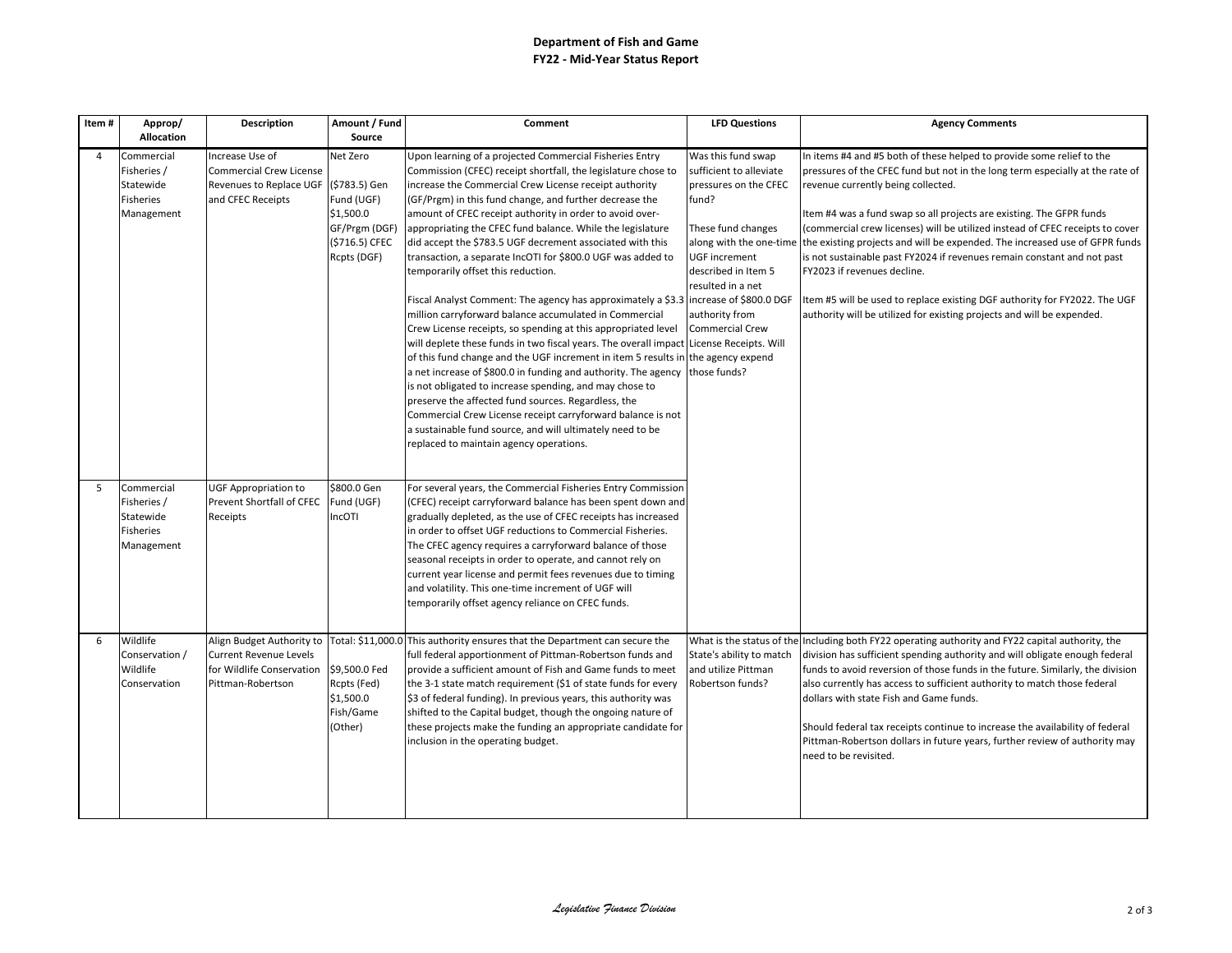## **Department of Fish and Game FY22 - Mid-Year Status Report**

| Item# | Approp/<br><b>Allocation</b>                                      | <b>Description</b>                                                                                           | Amount / Fund<br>Source                                           | Comment                                                                                                                                                                                                                                                                                                                                                                                                                                                                                                                                                        | <b>LFD Questions</b>                                                                                              | <b>Agency Comments</b>                                                                                                                                                                                                                                                                                                                                                                                                                                                                                                                                 |
|-------|-------------------------------------------------------------------|--------------------------------------------------------------------------------------------------------------|-------------------------------------------------------------------|----------------------------------------------------------------------------------------------------------------------------------------------------------------------------------------------------------------------------------------------------------------------------------------------------------------------------------------------------------------------------------------------------------------------------------------------------------------------------------------------------------------------------------------------------------------|-------------------------------------------------------------------------------------------------------------------|--------------------------------------------------------------------------------------------------------------------------------------------------------------------------------------------------------------------------------------------------------------------------------------------------------------------------------------------------------------------------------------------------------------------------------------------------------------------------------------------------------------------------------------------------------|
| 4     | Commercial                                                        | Increase Use of                                                                                              | Net Zero                                                          | Upon learning of a projected Commercial Fisheries Entry                                                                                                                                                                                                                                                                                                                                                                                                                                                                                                        | Was this fund swap                                                                                                | In items #4 and #5 both of these helped to provide some relief to the                                                                                                                                                                                                                                                                                                                                                                                                                                                                                  |
|       | Fisheries /<br>Statewide<br><b>Fisheries</b>                      | Commercial Crew License<br>Revenues to Replace UGF<br>and CFEC Receipts                                      | (\$783.5) Gen<br>Fund (UGF)                                       | Commission (CFEC) receipt shortfall, the legislature chose to<br>increase the Commercial Crew License receipt authority<br>(GF/Prgm) in this fund change, and further decrease the                                                                                                                                                                                                                                                                                                                                                                             | sufficient to alleviate<br>pressures on the CFEC<br>fund?                                                         | pressures of the CFEC fund but not in the long term especially at the rate of<br>revenue currently being collected.                                                                                                                                                                                                                                                                                                                                                                                                                                    |
|       | Management                                                        |                                                                                                              | \$1,500.0<br>GF/Prgm (DGF)<br>(\$716.5) CFEC<br>Rcpts (DGF)       | amount of CFEC receipt authority in order to avoid over-<br>appropriating the CFEC fund balance. While the legislature<br>did accept the \$783.5 UGF decrement associated with this<br>transaction, a separate IncOTI for \$800.0 UGF was added to<br>temporarily offset this reduction.                                                                                                                                                                                                                                                                       | These fund changes<br>along with the one-time<br><b>UGF</b> increment<br>described in Item 5<br>resulted in a net | Item #4 was a fund swap so all projects are existing. The GFPR funds<br>(commercial crew licenses) will be utilized instead of CFEC receipts to cover<br>the existing projects and will be expended. The increased use of GFPR funds<br>is not sustainable past FY2024 if revenues remain constant and not past<br>FY2023 if revenues decline.                                                                                                                                                                                                         |
|       |                                                                   |                                                                                                              |                                                                   | Fiscal Analyst Comment: The agency has approximately a \$3.3 lincrease of \$800.0 DGF<br>million carryforward balance accumulated in Commercial<br>Crew License receipts, so spending at this appropriated level<br>will deplete these funds in two fiscal years. The overall impact License Receipts. Will<br>of this fund change and the UGF increment in item 5 results in the agency expend<br>a net increase of \$800.0 in funding and authority. The agency                                                                                              | authority from<br><b>Commercial Crew</b><br>those funds?                                                          | Item #5 will be used to replace existing DGF authority for FY2022. The UGF<br>authority will be utilized for existing projects and will be expended.                                                                                                                                                                                                                                                                                                                                                                                                   |
|       |                                                                   |                                                                                                              |                                                                   | is not obligated to increase spending, and may chose to<br>preserve the affected fund sources. Regardless, the<br>Commercial Crew License receipt carryforward balance is not<br>a sustainable fund source, and will ultimately need to be<br>replaced to maintain agency operations.                                                                                                                                                                                                                                                                          |                                                                                                                   |                                                                                                                                                                                                                                                                                                                                                                                                                                                                                                                                                        |
| 5     | Commercial<br>Fisheries /<br>Statewide<br>Fisheries<br>Management | <b>UGF Appropriation to</b><br>Prevent Shortfall of CFEC<br>Receipts                                         | \$800.0 Gen<br>Fund (UGF)<br>IncOTI                               | For several years, the Commercial Fisheries Entry Commission<br>(CFEC) receipt carryforward balance has been spent down and<br>gradually depleted, as the use of CFEC receipts has increased<br>in order to offset UGF reductions to Commercial Fisheries.<br>The CFEC agency requires a carryforward balance of those<br>seasonal receipts in order to operate, and cannot rely on<br>current year license and permit fees revenues due to timing<br>and volatility. This one-time increment of UGF will<br>temporarily offset agency reliance on CFEC funds. |                                                                                                                   |                                                                                                                                                                                                                                                                                                                                                                                                                                                                                                                                                        |
| 6     | Wildlife<br>Conservation /<br>Wildlife<br>Conservation            | Align Budget Authority to<br><b>Current Revenue Levels</b><br>for Wildlife Conservation<br>Pittman-Robertson | \$9,500.0 Fed<br>Rcpts (Fed)<br>\$1,500.0<br>Fish/Game<br>(Other) | Total: \$11,000.0 This authority ensures that the Department can secure the<br>full federal apportionment of Pittman-Robertson funds and<br>provide a sufficient amount of Fish and Game funds to meet<br>the 3-1 state match requirement (\$1 of state funds for every<br>\$3 of federal funding). In previous years, this authority was<br>shifted to the Capital budget, though the ongoing nature of<br>these projects make the funding an appropriate candidate for<br>inclusion in the operating budget.                                                 | What is the status of the<br>State's ability to match<br>and utilize Pittman<br>Robertson funds?                  | Including both FY22 operating authority and FY22 capital authority, the<br>division has sufficient spending authority and will obligate enough federal<br>funds to avoid reversion of those funds in the future. Similarly, the division<br>also currently has access to sufficient authority to match those federal<br>dollars with state Fish and Game funds.<br>Should federal tax receipts continue to increase the availability of federal<br>Pittman-Robertson dollars in future years, further review of authority may<br>need to be revisited. |